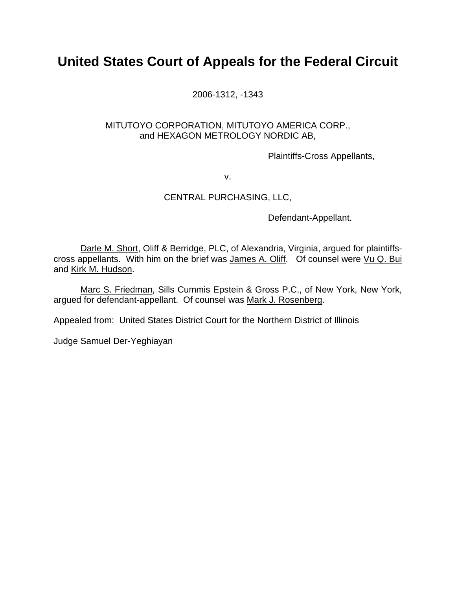# **United States Court of Appeals for the Federal Circuit**

2006-1312, -1343

# MITUTOYO CORPORATION, MITUTOYO AMERICA CORP., and HEXAGON METROLOGY NORDIC AB,

Plaintiffs-Cross Appellants,

v.

# CENTRAL PURCHASING, LLC,

Defendant-Appellant.

Darle M. Short, Oliff & Berridge, PLC, of Alexandria, Virginia, argued for plaintiffscross appellants. With him on the brief was James A. Oliff. Of counsel were Vu Q. Bui and Kirk M. Hudson.

Marc S. Friedman, Sills Cummis Epstein & Gross P.C., of New York, New York, argued for defendant-appellant. Of counsel was Mark J. Rosenberg.

Appealed from: United States District Court for the Northern District of Illinois

Judge Samuel Der-Yeghiayan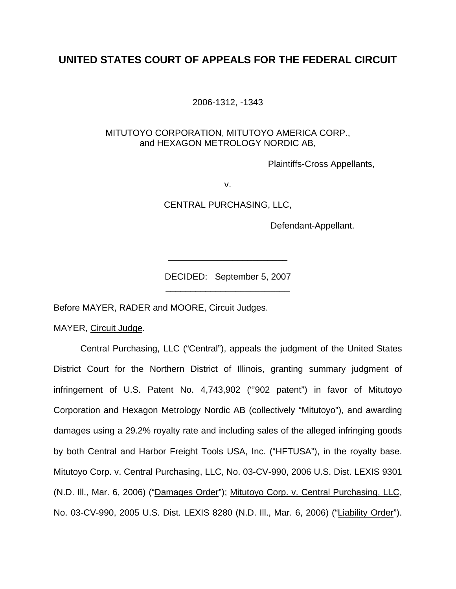# **UNITED STATES COURT OF APPEALS FOR THE FEDERAL CIRCUIT**

2006-1312, -1343

# MITUTOYO CORPORATION, MITUTOYO AMERICA CORP., and HEXAGON METROLOGY NORDIC AB,

Plaintiffs-Cross Appellants,

v.

CENTRAL PURCHASING, LLC,

Defendant-Appellant.

DECIDED: September 5, 2007 \_\_\_\_\_\_\_\_\_\_\_\_\_\_\_\_\_\_\_\_\_\_\_\_\_

\_\_\_\_\_\_\_\_\_\_\_\_\_\_\_\_\_\_\_\_\_\_\_\_

Before MAYER, RADER and MOORE, Circuit Judges.

MAYER, Circuit Judge.

Central Purchasing, LLC ("Central"), appeals the judgment of the United States District Court for the Northern District of Illinois, granting summary judgment of infringement of U.S. Patent No. 4,743,902 ("'902 patent") in favor of Mitutoyo Corporation and Hexagon Metrology Nordic AB (collectively "Mitutoyo"), and awarding damages using a 29.2% royalty rate and including sales of the alleged infringing goods by both Central and Harbor Freight Tools USA, Inc. ("HFTUSA"), in the royalty base. Mitutoyo Corp. v. Central Purchasing, LLC, No. 03-CV-990, 2006 U.S. Dist. LEXIS 9301 (N.D. Ill., Mar. 6, 2006) ("Damages Order"); Mitutoyo Corp. v. Central Purchasing, LLC, No. 03-CV-990, 2005 U.S. Dist. LEXIS 8280 (N.D. Ill., Mar. 6, 2006) ("Liability Order").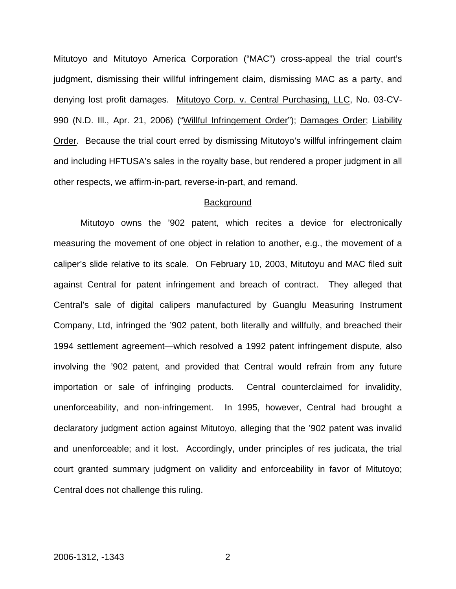Mitutoyo and Mitutoyo America Corporation ("MAC") cross-appeal the trial court's judgment, dismissing their willful infringement claim, dismissing MAC as a party, and denying lost profit damages. Mitutoyo Corp. v. Central Purchasing, LLC, No. 03-CV-990 (N.D. Ill., Apr. 21, 2006) ("Willful Infringement Order"); Damages Order; Liability Order. Because the trial court erred by dismissing Mitutoyo's willful infringement claim and including HFTUSA's sales in the royalty base, but rendered a proper judgment in all other respects, we affirm-in-part, reverse-in-part, and remand.

#### **Background**

 Mitutoyo owns the '902 patent, which recites a device for electronically measuring the movement of one object in relation to another, e.g., the movement of a caliper's slide relative to its scale. On February 10, 2003, Mitutoyu and MAC filed suit against Central for patent infringement and breach of contract. They alleged that Central's sale of digital calipers manufactured by Guanglu Measuring Instrument Company, Ltd, infringed the '902 patent, both literally and willfully, and breached their 1994 settlement agreement—which resolved a 1992 patent infringement dispute, also involving the '902 patent, and provided that Central would refrain from any future importation or sale of infringing products. Central counterclaimed for invalidity, unenforceability, and non-infringement. In 1995, however, Central had brought a declaratory judgment action against Mitutoyo, alleging that the '902 patent was invalid and unenforceable; and it lost. Accordingly, under principles of res judicata, the trial court granted summary judgment on validity and enforceability in favor of Mitutoyo; Central does not challenge this ruling.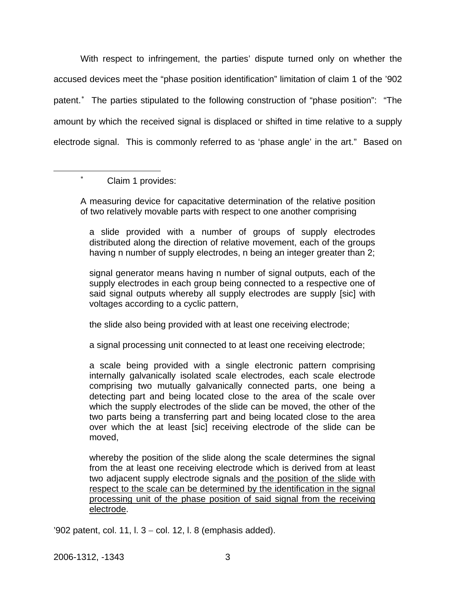With respect to infringement, the parties' dispute turned only on whether the accused devices meet the "phase position identification" limitation of claim 1 of the '902 patent.<sup>\*</sup> The parties stipulated to the following construction of "phase position": "The amount by which the received signal is displaced or shifted in time relative to a supply electrode signal. This is commonly referred to as 'phase angle' in the art." Based on

Claim 1 provides:

<span id="page-3-0"></span>1

∗

A measuring device for capacitative determination of the relative position of two relatively movable parts with respect to one another comprising

a slide provided with a number of groups of supply electrodes distributed along the direction of relative movement, each of the groups having n number of supply electrodes, n being an integer greater than 2;

signal generator means having n number of signal outputs, each of the supply electrodes in each group being connected to a respective one of said signal outputs whereby all supply electrodes are supply [sic] with voltages according to a cyclic pattern,

the slide also being provided with at least one receiving electrode;

a signal processing unit connected to at least one receiving electrode;

a scale being provided with a single electronic pattern comprising internally galvanically isolated scale electrodes, each scale electrode comprising two mutually galvanically connected parts, one being a detecting part and being located close to the area of the scale over which the supply electrodes of the slide can be moved, the other of the two parts being a transferring part and being located close to the area over which the at least [sic] receiving electrode of the slide can be moved,

whereby the position of the slide along the scale determines the signal from the at least one receiving electrode which is derived from at least two adjacent supply electrode signals and the position of the slide with respect to the scale can be determined by the identification in the signal processing unit of the phase position of said signal from the receiving electrode.

'902 patent, col. 11, l. 3 − col. 12, l. 8 (emphasis added).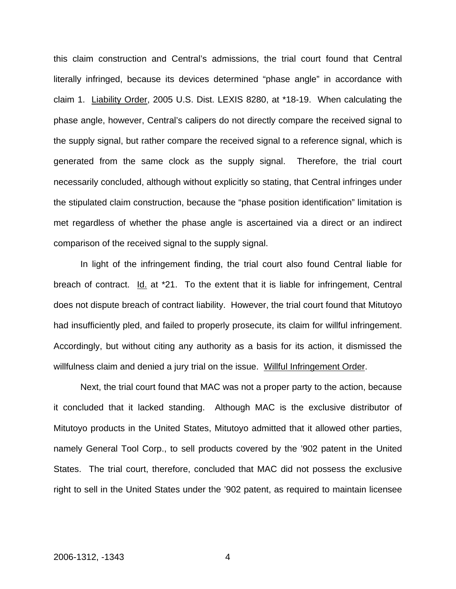this claim construction and Central's admissions, the trial court found that Central literally infringed, because its devices determined "phase angle" in accordance with claim 1. Liability Order, 2005 U.S. Dist. LEXIS 8280, at \*18-19. When calculating the phase angle, however, Central's calipers do not directly compare the received signal to the supply signal, but rather compare the received signal to a reference signal, which is generated from the same clock as the supply signal. Therefore, the trial court necessarily concluded, although without explicitly so stating, that Central infringes under the stipulated claim construction, because the "phase position identification" limitation is met regardless of whether the phase angle is ascertained via a direct or an indirect comparison of the received signal to the supply signal.

 In light of the infringement finding, the trial court also found Central liable for breach of contract. Id. at \*21. To the extent that it is liable for infringement, Central does not dispute breach of contract liability. However, the trial court found that Mitutoyo had insufficiently pled, and failed to properly prosecute, its claim for willful infringement. Accordingly, but without citing any authority as a basis for its action, it dismissed the willfulness claim and denied a jury trial on the issue. Willful Infringement Order.

 Next, the trial court found that MAC was not a proper party to the action, because it concluded that it lacked standing. Although MAC is the exclusive distributor of Mitutoyo products in the United States, Mitutoyo admitted that it allowed other parties, namely General Tool Corp., to sell products covered by the '902 patent in the United States. The trial court, therefore, concluded that MAC did not possess the exclusive right to sell in the United States under the '902 patent, as required to maintain licensee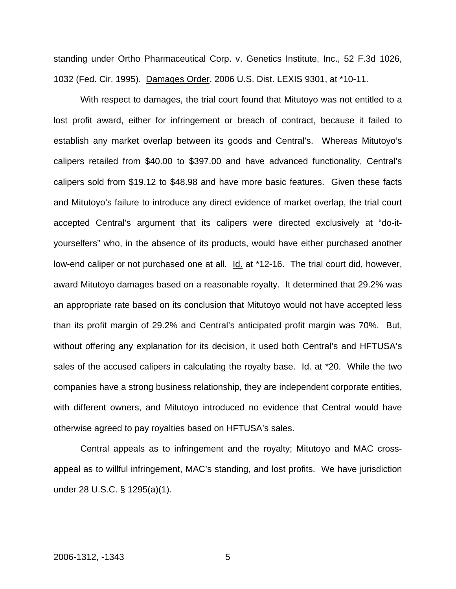standing under Ortho Pharmaceutical Corp. v. Genetics Institute, Inc., 52 F.3d 1026, 1032 (Fed. Cir. 1995). Damages Order, 2006 U.S. Dist. LEXIS 9301, at \*10-11.

 With respect to damages, the trial court found that Mitutoyo was not entitled to a lost profit award, either for infringement or breach of contract, because it failed to establish any market overlap between its goods and Central's. Whereas Mitutoyo's calipers retailed from \$40.00 to \$397.00 and have advanced functionality, Central's calipers sold from \$19.12 to \$48.98 and have more basic features. Given these facts and Mitutoyo's failure to introduce any direct evidence of market overlap, the trial court accepted Central's argument that its calipers were directed exclusively at "do-ityourselfers" who, in the absence of its products, would have either purchased another low-end caliper or not purchased one at all. Id. at \*12-16. The trial court did, however, award Mitutoyo damages based on a reasonable royalty. It determined that 29.2% was an appropriate rate based on its conclusion that Mitutoyo would not have accepted less than its profit margin of 29.2% and Central's anticipated profit margin was 70%. But, without offering any explanation for its decision, it used both Central's and HFTUSA's sales of the accused calipers in calculating the royalty base. Id. at \*20. While the two companies have a strong business relationship, they are independent corporate entities, with different owners, and Mitutoyo introduced no evidence that Central would have otherwise agreed to pay royalties based on HFTUSA's sales.

 Central appeals as to infringement and the royalty; Mitutoyo and MAC crossappeal as to willful infringement, MAC's standing, and lost profits. We have jurisdiction under 28 U.S.C. § 1295(a)(1).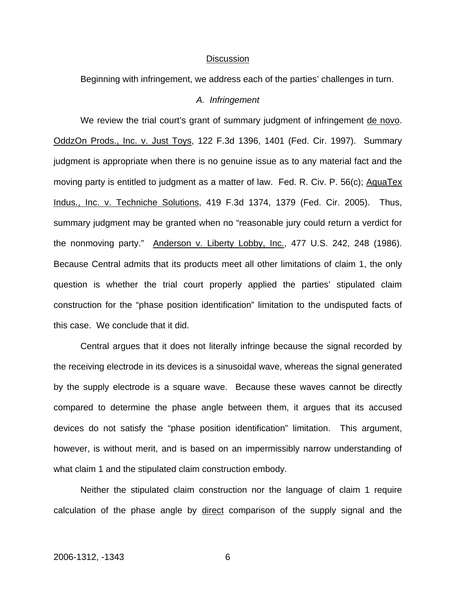#### **Discussion**

Beginning with infringement, we address each of the parties' challenges in turn.

#### *A. Infringement*

We review the trial court's grant of summary judgment of infringement de novo. OddzOn Prods., Inc. v. Just Toys, 122 F.3d 1396, 1401 (Fed. Cir. 1997). Summary judgment is appropriate when there is no genuine issue as to any material fact and the moving party is entitled to judgment as a matter of law. Fed. R. Civ. P. 56(c); AquaTex Indus., Inc. v. Techniche Solutions, 419 F.3d 1374, 1379 (Fed. Cir. 2005). Thus, summary judgment may be granted when no "reasonable jury could return a verdict for the nonmoving party." Anderson v. Liberty Lobby, Inc., 477 U.S. 242, 248 (1986). Because Central admits that its products meet all other limitations of claim 1, the only question is whether the trial court properly applied the parties' stipulated claim construction for the "phase position identification" limitation to the undisputed facts of this case. We conclude that it did.

 Central argues that it does not literally infringe because the signal recorded by the receiving electrode in its devices is a sinusoidal wave, whereas the signal generated by the supply electrode is a square wave. Because these waves cannot be directly compared to determine the phase angle between them, it argues that its accused devices do not satisfy the "phase position identification" limitation. This argument, however, is without merit, and is based on an impermissibly narrow understanding of what claim 1 and the stipulated claim construction embody.

 Neither the stipulated claim construction nor the language of claim 1 require calculation of the phase angle by direct comparison of the supply signal and the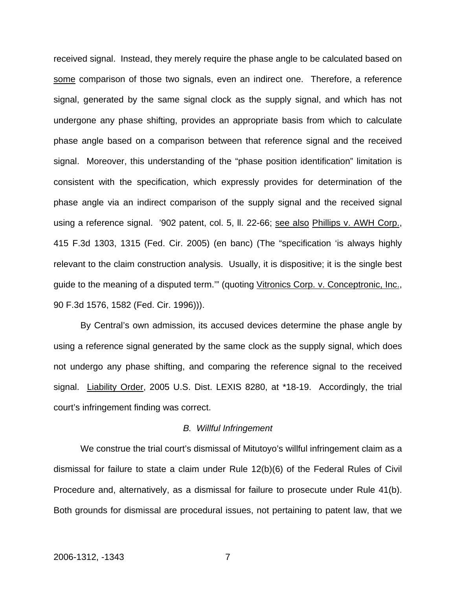received signal. Instead, they merely require the phase angle to be calculated based on some comparison of those two signals, even an indirect one. Therefore, a reference signal, generated by the same signal clock as the supply signal, and which has not undergone any phase shifting, provides an appropriate basis from which to calculate phase angle based on a comparison between that reference signal and the received signal. Moreover, this understanding of the "phase position identification" limitation is consistent with the specification, which expressly provides for determination of the phase angle via an indirect comparison of the supply signal and the received signal using a reference signal. '902 patent, col. 5, ll. 22-66; see also Phillips v. AWH Corp., 415 F.3d 1303, 1315 (Fed. Cir. 2005) (en banc) (The "specification 'is always highly relevant to the claim construction analysis. Usually, it is dispositive; it is the single best guide to the meaning of a disputed term."" (quoting Vitronics Corp. v. Conceptronic, Inc., 90 F.3d 1576, 1582 (Fed. Cir. 1996))).

 By Central's own admission, its accused devices determine the phase angle by using a reference signal generated by the same clock as the supply signal, which does not undergo any phase shifting, and comparing the reference signal to the received signal. Liability Order, 2005 U.S. Dist. LEXIS 8280, at \*18-19. Accordingly, the trial court's infringement finding was correct.

#### *B. Willful Infringement*

We construe the trial court's dismissal of Mitutoyo's willful infringement claim as a dismissal for failure to state a claim under Rule 12(b)(6) of the Federal Rules of Civil Procedure and, alternatively, as a dismissal for failure to prosecute under Rule 41(b). Both grounds for dismissal are procedural issues, not pertaining to patent law, that we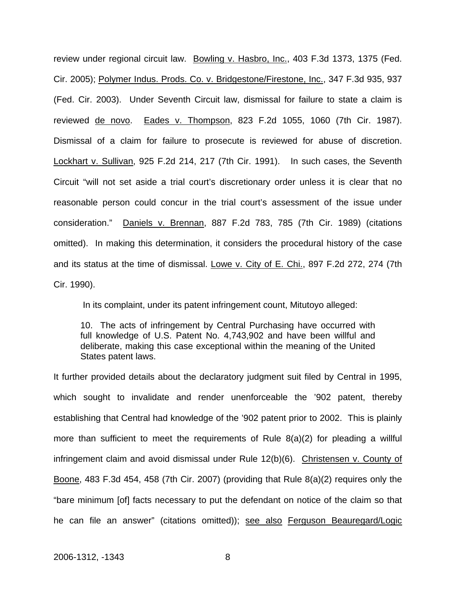review under regional circuit law. Bowling v. Hasbro, Inc., 403 F.3d 1373, 1375 (Fed. Cir. 2005); Polymer Indus. Prods. Co. v. Bridgestone/Firestone, Inc., 347 F.3d 935, 937 (Fed. Cir. 2003). Under Seventh Circuit law, dismissal for failure to state a claim is reviewed de novo. Eades v. Thompson, 823 F.2d 1055, 1060 (7th Cir. 1987). Dismissal of a claim for failure to prosecute is reviewed for abuse of discretion. Lockhart v. Sullivan, 925 F.2d 214, 217 (7th Cir. 1991). In such cases, the Seventh Circuit "will not set aside a trial court's discretionary order unless it is clear that no reasonable person could concur in the trial court's assessment of the issue under consideration." Daniels v. Brennan, 887 F.2d 783, 785 (7th Cir. 1989) (citations omitted). In making this determination, it considers the procedural history of the case and its status at the time of dismissal. Lowe v. City of E. Chi., 897 F.2d 272, 274 (7th Cir. 1990).

In its complaint, under its patent infringement count, Mitutoyo alleged:

10. The acts of infringement by Central Purchasing have occurred with full knowledge of U.S. Patent No. 4,743,902 and have been willful and deliberate, making this case exceptional within the meaning of the United States patent laws.

It further provided details about the declaratory judgment suit filed by Central in 1995, which sought to invalidate and render unenforceable the '902 patent, thereby establishing that Central had knowledge of the '902 patent prior to 2002. This is plainly more than sufficient to meet the requirements of Rule 8(a)(2) for pleading a willful infringement claim and avoid dismissal under Rule 12(b)(6). Christensen v. County of Boone, 483 F.3d 454, 458 (7th Cir. 2007) (providing that Rule 8(a)(2) requires only the "bare minimum [of] facts necessary to put the defendant on notice of the claim so that he can file an answer" (citations omitted)); see also Ferguson Beauregard/Logic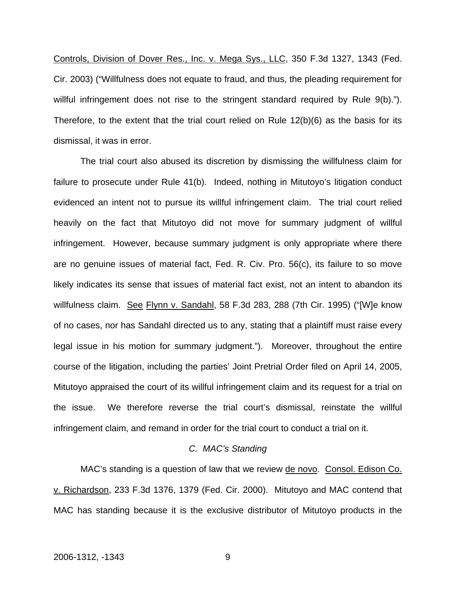Controls, Division of Dover Res., Inc. v. Mega Sys., LLC, 350 F.3d 1327, 1343 (Fed. Cir. 2003) ("Willfulness does not equate to fraud, and thus, the pleading requirement for willful infringement does not rise to the stringent standard required by Rule 9(b)."). Therefore, to the extent that the trial court relied on Rule  $12(b)(6)$  as the basis for its dismissal, it was in error.

 The trial court also abused its discretion by dismissing the willfulness claim for failure to prosecute under Rule 41(b). Indeed, nothing in Mitutoyo's litigation conduct evidenced an intent not to pursue its willful infringement claim. The trial court relied heavily on the fact that Mitutoyo did not move for summary judgment of willful infringement. However, because summary judgment is only appropriate where there are no genuine issues of material fact, Fed. R. Civ. Pro. 56(c), its failure to so move likely indicates its sense that issues of material fact exist, not an intent to abandon its willfulness claim. See Flynn v. Sandahl, 58 F.3d 283, 288 (7th Cir. 1995) ("[W]e know of no cases, nor has Sandahl directed us to any, stating that a plaintiff must raise every legal issue in his motion for summary judgment."). Moreover, throughout the entire course of the litigation, including the parties' Joint Pretrial Order filed on April 14, 2005, Mitutoyo appraised the court of its willful infringement claim and its request for a trial on the issue. We therefore reverse the trial court's dismissal, reinstate the willful infringement claim, and remand in order for the trial court to conduct a trial on it.

#### *C. MAC's Standing*

MAC's standing is a question of law that we review de novo. Consol. Edison Co. v. Richardson, 233 F.3d 1376, 1379 (Fed. Cir. 2000). Mitutoyo and MAC contend that MAC has standing because it is the exclusive distributor of Mitutoyo products in the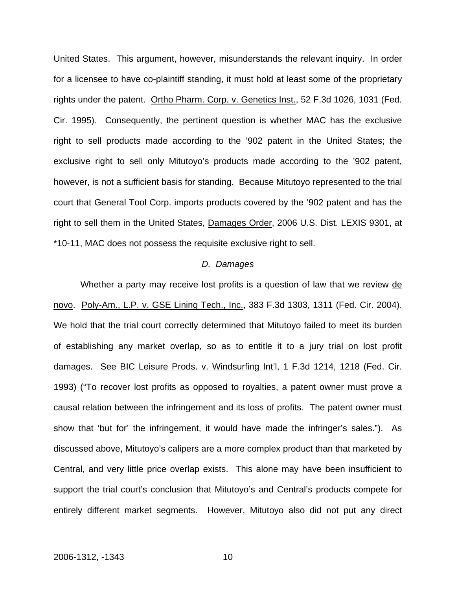United States. This argument, however, misunderstands the relevant inquiry. In order for a licensee to have co-plaintiff standing, it must hold at least some of the proprietary rights under the patent. Ortho Pharm. Corp. v. Genetics Inst., 52 F.3d 1026, 1031 (Fed. Cir. 1995). Consequently, the pertinent question is whether MAC has the exclusive right to sell products made according to the '902 patent in the United States; the exclusive right to sell only Mitutoyo's products made according to the '902 patent, however, is not a sufficient basis for standing. Because Mitutoyo represented to the trial court that General Tool Corp. imports products covered by the '902 patent and has the right to sell them in the United States, Damages Order, 2006 U.S. Dist. LEXIS 9301, at \*10-11, MAC does not possess the requisite exclusive right to sell.

#### *D. Damages*

Whether a party may receive lost profits is a question of law that we review de novo. Poly-Am., L.P. v. GSE Lining Tech., Inc., 383 F.3d 1303, 1311 (Fed. Cir. 2004). We hold that the trial court correctly determined that Mitutoyo failed to meet its burden of establishing any market overlap, so as to entitle it to a jury trial on lost profit damages. See BIC Leisure Prods. v. Windsurfing Int'l, 1 F.3d 1214, 1218 (Fed. Cir. 1993) ("To recover lost profits as opposed to royalties, a patent owner must prove a causal relation between the infringement and its loss of profits. The patent owner must show that 'but for' the infringement, it would have made the infringer's sales."). As discussed above, Mitutoyo's calipers are a more complex product than that marketed by Central, and very little price overlap exists. This alone may have been insufficient to support the trial court's conclusion that Mitutoyo's and Central's products compete for entirely different market segments. However, Mitutoyo also did not put any direct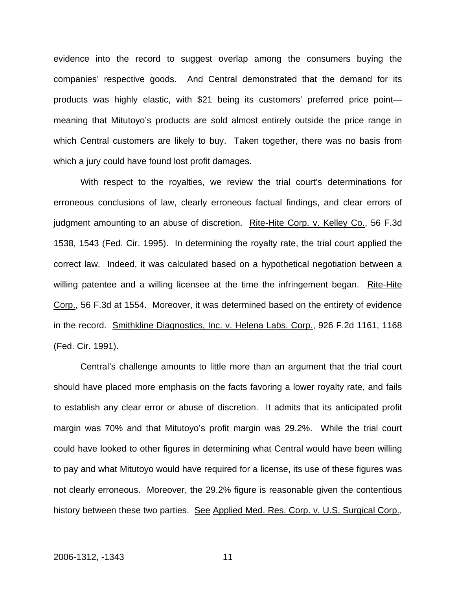evidence into the record to suggest overlap among the consumers buying the companies' respective goods. And Central demonstrated that the demand for its products was highly elastic, with \$21 being its customers' preferred price point meaning that Mitutoyo's products are sold almost entirely outside the price range in which Central customers are likely to buy. Taken together, there was no basis from which a jury could have found lost profit damages.

With respect to the royalties, we review the trial court's determinations for erroneous conclusions of law, clearly erroneous factual findings, and clear errors of judgment amounting to an abuse of discretion. Rite-Hite Corp. v. Kelley Co., 56 F.3d 1538, 1543 (Fed. Cir. 1995). In determining the royalty rate, the trial court applied the correct law. Indeed, it was calculated based on a hypothetical negotiation between a willing patentee and a willing licensee at the time the infringement began. Rite-Hite Corp., 56 F.3d at 1554. Moreover, it was determined based on the entirety of evidence in the record. Smithkline Diagnostics, Inc. v. Helena Labs. Corp., 926 F.2d 1161, 1168 (Fed. Cir. 1991).

Central's challenge amounts to little more than an argument that the trial court should have placed more emphasis on the facts favoring a lower royalty rate, and fails to establish any clear error or abuse of discretion. It admits that its anticipated profit margin was 70% and that Mitutoyo's profit margin was 29.2%. While the trial court could have looked to other figures in determining what Central would have been willing to pay and what Mitutoyo would have required for a license, its use of these figures was not clearly erroneous. Moreover, the 29.2% figure is reasonable given the contentious history between these two parties. See Applied Med. Res. Corp. v. U.S. Surgical Corp.,